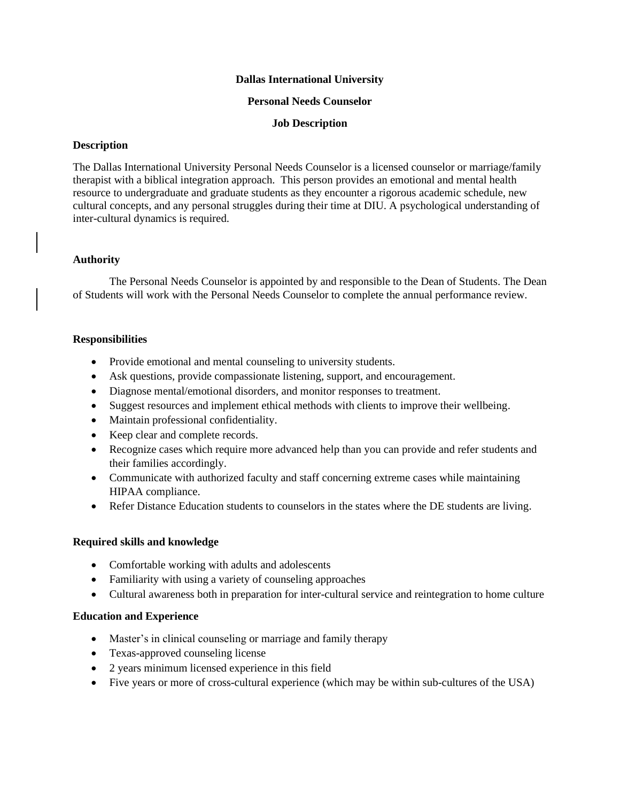### **Dallas International University**

#### **Personal Needs Counselor**

## **Job Description**

# **Description**

The Dallas International University Personal Needs Counselor is a licensed counselor or marriage/family therapist with a biblical integration approach. This person provides an emotional and mental health resource to undergraduate and graduate students as they encounter a rigorous academic schedule, new cultural concepts, and any personal struggles during their time at DIU. A psychological understanding of inter-cultural dynamics is required.

# **Authority**

The Personal Needs Counselor is appointed by and responsible to the Dean of Students. The Dean of Students will work with the Personal Needs Counselor to complete the annual performance review.

# **Responsibilities**

- Provide emotional and mental counseling to university students.
- Ask questions, provide compassionate listening, support, and encouragement.
- Diagnose mental/emotional disorders, and monitor responses to treatment.
- Suggest resources and implement ethical methods with clients to improve their wellbeing.
- Maintain professional confidentiality.
- Keep clear and complete records.
- Recognize cases which require more advanced help than you can provide and refer students and their families accordingly.
- Communicate with authorized faculty and staff concerning extreme cases while maintaining HIPAA compliance.
- Refer Distance Education students to counselors in the states where the DE students are living.

# **Required skills and knowledge**

- Comfortable working with adults and adolescents
- Familiarity with using a variety of counseling approaches
- Cultural awareness both in preparation for inter-cultural service and reintegration to home culture

# **Education and Experience**

- Master's in clinical counseling or marriage and family therapy
- Texas-approved counseling license
- 2 years minimum licensed experience in this field
- Five years or more of cross-cultural experience (which may be within sub-cultures of the USA)